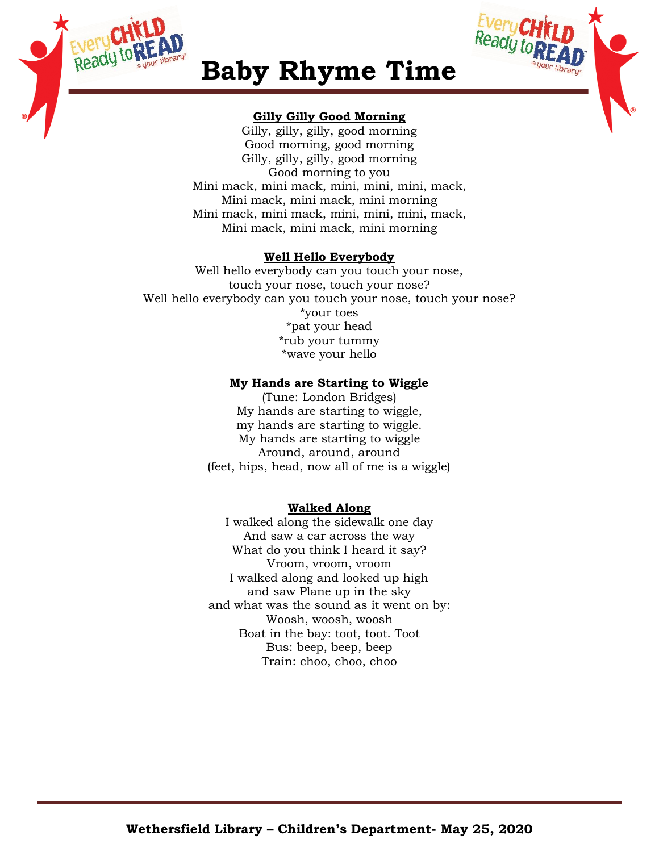



# **Baby Rhyme Time**

## **Gilly Gilly Good Morning**

Gilly, gilly, gilly, good morning Good morning, good morning Gilly, gilly, gilly, good morning Good morning to you Mini mack, mini mack, mini, mini, mini, mack, Mini mack, mini mack, mini morning Mini mack, mini mack, mini, mini, mini, mack, Mini mack, mini mack, mini morning

## **Well Hello Everybody**

Well hello everybody can you touch your nose, touch your nose, touch your nose? Well hello everybody can you touch your nose, touch your nose? \*your toes \*pat your head \*rub your tummy \*wave your hello

## **My Hands are Starting to Wiggle**

(Tune: London Bridges) My hands are starting to wiggle, my hands are starting to wiggle. My hands are starting to wiggle Around, around, around (feet, hips, head, now all of me is a wiggle)

## **Walked Along**

I walked along the sidewalk one day And saw a car across the way What do you think I heard it say? Vroom, vroom, vroom I walked along and looked up high and saw Plane up in the sky and what was the sound as it went on by: Woosh, woosh, woosh Boat in the bay: toot, toot. Toot Bus: beep, beep, beep Train: choo, choo, choo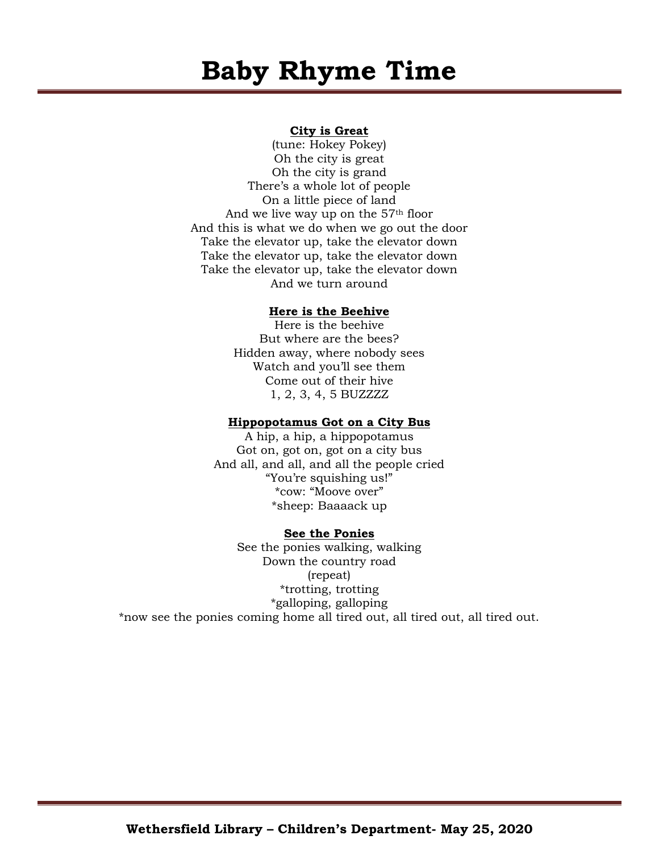# **Baby Rhyme Time**

### **City is Great**

(tune: Hokey Pokey) Oh the city is great Oh the city is grand There's a whole lot of people On a little piece of land And we live way up on the 57th floor And this is what we do when we go out the door Take the elevator up, take the elevator down Take the elevator up, take the elevator down Take the elevator up, take the elevator down And we turn around

#### **Here is the Beehive**

Here is the beehive But where are the bees? Hidden away, where nobody sees Watch and you'll see them Come out of their hive 1, 2, 3, 4, 5 BUZZZZ

#### **Hippopotamus Got on a City Bus**

A hip, a hip, a hippopotamus Got on, got on, got on a city bus And all, and all, and all the people cried "You're squishing us!" \*cow: "Moove over" \*sheep: Baaaack up

#### **See the Ponies**

See the ponies walking, walking Down the country road (repeat) \*trotting, trotting \*galloping, galloping \*now see the ponies coming home all tired out, all tired out, all tired out.